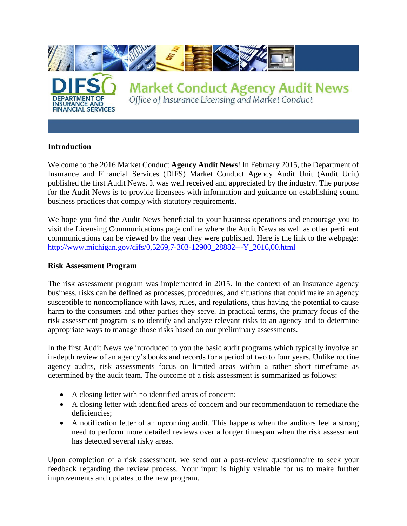

#### **Introduction**

Welcome to the 2016 Market Conduct **Agency Audit News**! In February 2015, the Department of Insurance and Financial Services (DIFS) Market Conduct Agency Audit Unit (Audit Unit) published the first Audit News. It was well received and appreciated by the industry. The purpose for the Audit News is to provide licensees with information and guidance on establishing sound business practices that comply with statutory requirements.

We hope you find the Audit News beneficial to your business operations and encourage you to visit the Licensing Communications page online where the Audit News as well as other pertinent communications can be viewed by the year they were published. Here is the link to the webpage: [http://www.michigan.gov/difs/0,5269,7-303-12900\\_28882---Y\\_2016,00.html](http://www.michigan.gov/difs/0,5269,7-303-12900_28882---Y_2016,00.html) 

#### **Risk Assessment Program**

The risk assessment program was implemented in 2015. In the context of an insurance agency business, risks can be defined as processes, procedures, and situations that could make an agency susceptible to noncompliance with laws, rules, and regulations, thus having the potential to cause harm to the consumers and other parties they serve. In practical terms, the primary focus of the risk assessment program is to identify and analyze relevant risks to an agency and to determine appropriate ways to manage those risks based on our preliminary assessments.

In the first Audit News we introduced to you the basic audit programs which typically involve an in-depth review of an agency's books and records for a period of two to four years. Unlike routine agency audits, risk assessments focus on limited areas within a rather short timeframe as determined by the audit team. The outcome of a risk assessment is summarized as follows:

- A closing letter with no identified areas of concern;
- A closing letter with identified areas of concern and our recommendation to remediate the deficiencies;
- A notification letter of an upcoming audit. This happens when the auditors feel a strong need to perform more detailed reviews over a longer timespan when the risk assessment has detected several risky areas.

Upon completion of a risk assessment, we send out a post-review questionnaire to seek your feedback regarding the review process. Your input is highly valuable for us to make further improvements and updates to the new program.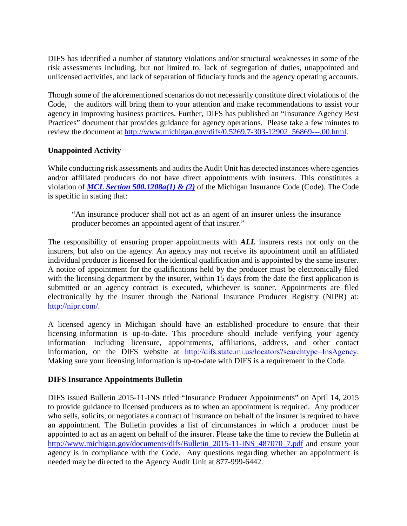DIFS has identified a number of statutory violations and/or structural weaknesses in some of the risk assessments including, but not limited to, lack of segregation of duties, unappointed and unlicensed activities, and lack of separation of fiduciary funds and the agency operating accounts.

Though some of the aforementioned scenarios do not necessarily constitute direct violations of the Code, the auditors will bring them to your attention and make recommendations to assist your agency in improving business practices. Further, DIFS has published an "Insurance Agency Best Practices" document that provides guidance for agency operations. Please take a few minutes to review the document at [http://www.michigan.gov/difs/0,5269,7-303-12902\\_56869---,00.html.](http://www.michigan.gov/difs/0,5269,7-303-12902_56869---,00.html)

## **Unappointed Activity**

While conducting risk assessments and audits the Audit Unit has detected instances where agencies and/or affiliated producers do not have direct appointments with insurers. This constitutes a violation of *[MCL Section 500.1208a\(1\) & \(2\)](http://www.legislature.mi.gov/(S(ozz3r33t2fvh0ak4u4lr2sth))/mileg.aspx?page=getObject&objectName=mcl-500-1208a)* of the Michigan Insurance Code (Code). The Code is specific in stating that:

"An insurance producer shall not act as an agent of an insurer unless the insurance producer becomes an appointed agent of that insurer."

The responsibility of ensuring proper appointments with *ALL* insurers rests not only on the insurers, but also on the agency. An agency may not receive its appointment until an affiliated individual producer is licensed for the identical qualification and is appointed by the same insurer. A notice of appointment for the qualifications held by the producer must be electronically filed with the licensing department by the insurer, within 15 days from the date the first application is submitted or an agency contract is executed, whichever is sooner. Appointments are filed electronically by the insurer through the National Insurance Producer Registry (NIPR) at: [http://nipr.com/.](http://nipr.com/)

A licensed agency in Michigan should have an established procedure to ensure that their licensing information is up-to-date. This procedure should include verifying your agency information including licensure, appointments, affiliations, address, and other contact information, on the DIFS website at <http://difs.state.mi.us/locators?searchtype=InsAgency>. Making sure your licensing information is up-to-date with DIFS is a requirement in the Code.

## **DIFS Insurance Appointments Bulletin**

DIFS issued Bulletin 2015-11-INS titled "Insurance Producer Appointments" on April 14, 2015 to provide guidance to licensed producers as to when an appointment is required. Any producer who sells, solicits, or negotiates a contract of insurance on behalf of the insurer is required to have an appointment. The Bulletin provides a list of circumstances in which a producer must be appointed to act as an agent on behalf of the insurer. Please take the time to review the Bulletin at [http://www.michigan.gov/documents/difs/Bulletin\\_2015-11-INS\\_487070\\_7.pdf](http://www.michigan.gov/documents/difs/Bulletin_2015-11-INS_487070_7.pdf) and ensure your agency is in compliance with the Code. Any questions regarding whether an appointment is needed may be directed to the Agency Audit Unit at 877-999-6442.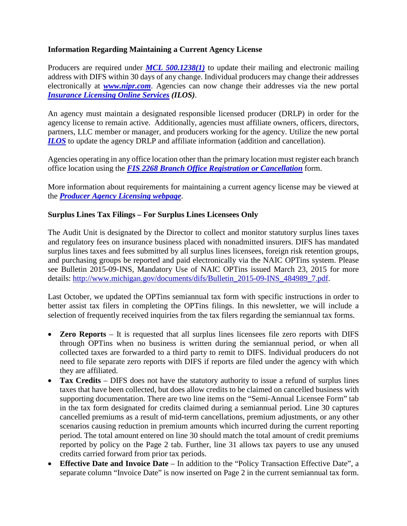# **Information Regarding Maintaining a Current Agency License**

Producers are required under **[MCL 500.1238\(1\)](http://www.legislature.mi.gov/(S(ehh4ms3w0xqn0lxktecqq3sl))/mileg.aspx?page=getObject&objectName=mcl-500-1238)** to update their mailing and electronic mailing address with DIFS within 30 days of any change. Individual producers may change their addresses electronically at *[www.nipr.com](http://www.nipr.com/)*. Agencies can now change their addresses via the new portal *[Insurance Licensing Online Services](http://www.michigan.gov/difs/0,5269,7-303-22535_74724-370770--,00.html) (ILOS)*.

An agency must maintain a designated responsible licensed producer (DRLP) in order for the agency license to remain active. Additionally, agencies must affiliate owners, officers, directors, partners, LLC member or manager, and producers working for the agency. Utilize the new portal *[ILOS](http://www.michigan.gov/difs/0,5269,7-303-22535_74724-370770--,00.html)* to update the agency DRLP and affiliate information (addition and cancellation).

Agencies operating in any office location other than the primary location must register each branch office location using the *[FIS 2268 Branch Office Registration or Cancellation](http://www.michigan.gov/documents/lara/FIS_2268__Branch_Office_Registration_form_1-13_407288_7.pdf)* form.

More information about requirements for maintaining a current agency license may be viewed at the *[Producer Agency Licensing webpage](http://www.michigan.gov/difs/0,5269,7-303-22535_23031---,00.html)*.

## **Surplus Lines Tax Filings – For Surplus Lines Licensees Only**

The Audit Unit is designated by the Director to collect and monitor statutory surplus lines taxes and regulatory fees on insurance business placed with nonadmitted insurers. DIFS has mandated surplus lines taxes and fees submitted by all surplus lines licensees, foreign risk retention groups, and purchasing groups be reported and paid electronically via the NAIC OPTins system. Please see Bulletin 2015-09-INS, Mandatory Use of NAIC OPTins issued March 23, 2015 for more details: [http://www.michigan.gov/documents/difs/Bulletin\\_2015-09-INS\\_484989\\_7.pdf.](http://www.michigan.gov/documents/difs/Bulletin_2015-09-INS_484989_7.pdf)

Last October, we updated the OPTins semiannual tax form with specific instructions in order to better assist tax filers in completing the OPTins filings. In this newsletter, we will include a selection of frequently received inquiries from the tax filers regarding the semiannual tax forms.

- **Zero Reports** It is requested that all surplus lines licensees file zero reports with DIFS through OPTins when no business is written during the semiannual period, or when all collected taxes are forwarded to a third party to remit to DIFS. Individual producers do not need to file separate zero reports with DIFS if reports are filed under the agency with which they are affiliated.
- **Tax Credits** DIFS does not have the statutory authority to issue a refund of surplus lines taxes that have been collected, but does allow credits to be claimed on cancelled business with supporting documentation. There are two line items on the "Semi-Annual Licensee Form" tab in the tax form designated for credits claimed during a semiannual period. Line 30 captures cancelled premiums as a result of mid-term cancellations, premium adjustments, or any other scenarios causing reduction in premium amounts which incurred during the current reporting period. The total amount entered on line 30 should match the total amount of credit premiums reported by policy on the Page 2 tab. Further, line 31 allows tax payers to use any unused credits carried forward from prior tax periods.
- **Effective Date and Invoice Date** In addition to the "Policy Transaction Effective Date", a separate column "Invoice Date" is now inserted on Page 2 in the current semiannual tax form.